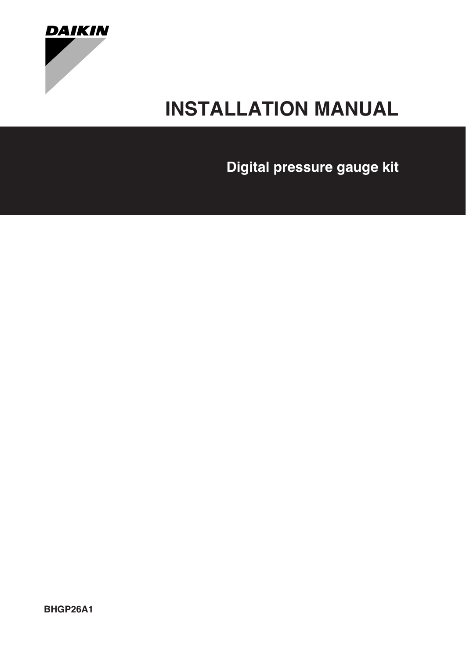

# **[INSTALLATION MANUAL](#page-1-0)**

**[Digital pressure gauge kit](#page-1-1)**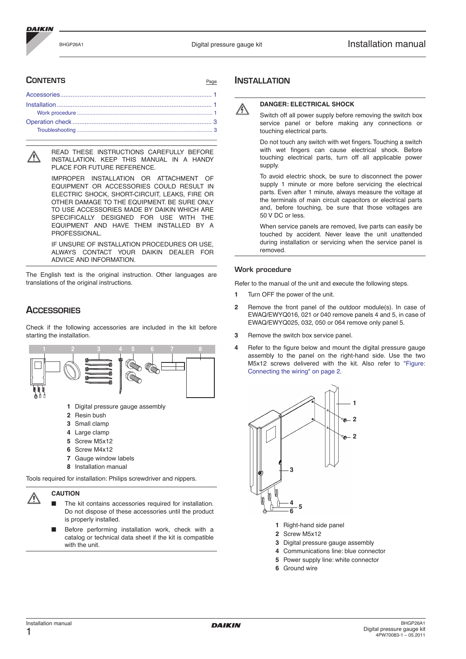## **CONTENTS** Page

READ THESE INSTRUCTIONS CAREFULLY BEFORE INSTALLATION. KEEP THIS MANUAL IN A HANDY PLACE FOR FUTURE REFERENCE.

IMPROPER INSTALLATION OR ATTACHMENT OF EQUIPMENT OR ACCESSORIES COULD RESULT IN ELECTRIC SHOCK, SHORT-CIRCUIT, LEAKS, FIRE OR OTHER DAMAGE TO THE EQUIPMENT. BE SURE ONLY TO USE ACCESSORIES MADE BY DAIKIN WHICH ARE SPECIFICALLY DESIGNED FOR USE WITH THE EQUIPMENT AND HAVE THEM INSTALLED BY A PROFESSIONAL.

IF UNSURE OF INSTALLATION PROCEDURES OR USE, ALWAYS CONTACT YOUR DAIKIN DEALER FOR ADVICE AND INFORMATION.

The English text is the original instruction. Other languages are translations of the original instructions.

# <span id="page-1-2"></span>**ACCESSORIES**

Check if the following accessories are included in the kit before starting the installation.



- **2** Resin bush
- **3** Small clamp
- **4** Large clamp
- **5** Screw M5x12
- **6** Screw M4x12
- **7** Gauge window labels
- **8** Installation manual

Tools required for installation: Philips screwdriver and nippers.

#### **CAUTION**

- The kit contains accessories required for installation. Do not dispose of these accessories until the product is properly installed.
- Before performing installation work, check with a catalog or technical data sheet if the kit is compatible with the unit.

## <span id="page-1-3"></span><span id="page-1-1"></span>**INSTALLATION**

#### **DANGER: ELECTRICAL SHOCK**

<span id="page-1-0"></span>Switch off all power supply before removing the switch box service panel or before making any connections or touching electrical parts.

Do not touch any switch with wet fingers. Touching a switch with wet fingers can cause electrical shock. Before touching electrical parts, turn off all applicable power supply.

To avoid electric shock, be sure to disconnect the power supply 1 minute or more before servicing the electrical parts. Even after 1 minute, always measure the voltage at the terminals of main circuit capacitors or electrical parts and, before touching, be sure that those voltages are 50 V DC or less.

When service panels are removed, live parts can easily be touched by accident. Never leave the unit unattended during installation or servicing when the service panel is removed.

#### <span id="page-1-4"></span>**Work procedure**

Refer to the manual of the unit and execute the following steps.

- **1** Turn OFF the power of the unit.
- **2** Remove the front panel of the outdoor module(s). In case of EWAQ/EWYQ016, 021 or 040 remove panels 4 and 5, in case of EWAQ/EWYQ025, 032, 050 or 064 remove only panel 5.
- **3** Remove the switch box service panel.
- **4** Refer to the figure below and mount the digital pressure gauge assembly to the panel on the right-hand side. Use the two M5x12 screws delivered with the kit. Also refer to ["Figure:](#page-2-0) [Connecting the wiring" on page 2.](#page-2-0)



- **1** Right-hand side panel
- **2** Screw M5x12
- **3** Digital pressure gauge assembly
- **4** Communications line: blue connector
- **5** Power supply line: white connector
- **6** Ground wire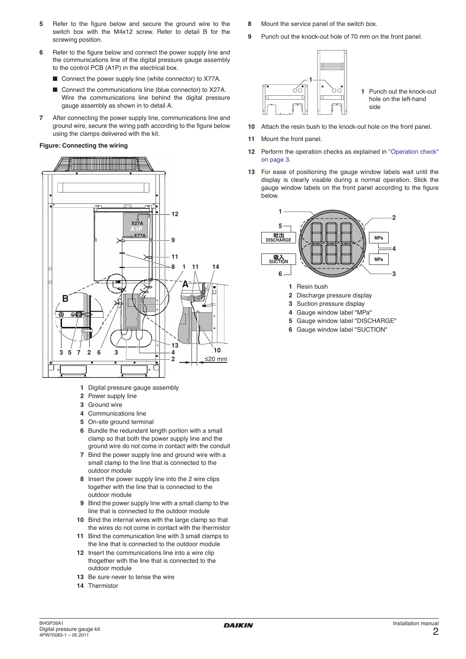- **5** Refer to the figure below and secure the ground wire to the switch box with the M4x12 screw. Refer to detail B for the screwing position.
- **6** Refer to the figure below and connect the power supply line and the communications line of the digital pressure gauge assembly to the control PCB (A1P) in the electrical box.
	- Connect the power supply line (white connector) to X77A.
	- Connect the communications line (blue connector) to X27A. Wire the communications line behind the digital pressure gauge assembly as shown in to detail A.
- **7** After connecting the power supply line, communications line and ground wire, secure the wiring path according to the figure below using the clamps delivered with the kit.

#### <span id="page-2-0"></span>**Figure: Connecting the wiring**



- **1** Digital pressure gauge assembly
- **2** Power supply line
- **3** Ground wire
- **4** Communications line
- **5** On-site ground terminal
- **6** Bundle the redundant length portion with a small clamp so that both the power supply line and the ground wire do not come in contact with the conduit
- **7** Bind the power supply line and ground wire with a small clamp to the line that is connected to the outdoor module
- **8** Insert the power supply line into the 2 wire clips together with the line that is connected to the outdoor module
- **9** Bind the power supply line with a small clamp to the line that is connected to the outdoor module
- **10** Bind the internal wires with the large clamp so that the wires do not come in contact with the thermistor
- **11** Bind the communication line with 3 small clamps to the line that is connected to the outdoor module
- **12** Insert the communications line into a wire clip thogether with the line that is connected to the outdoor module
- **13** Be sure never to tense the wire
- **14** Thermistor
- **8** Mount the service panel of the switch box.
- **9** Punch out the knock-out hole of 70 mm on the front panel.



- **1** Punch out the knock-out hole on the left-hand side
- **10** Attach the resin bush to the knock-out hole on the front panel.
- **11** Mount the front panel.
- **12** Perform the operation checks as explained in ["Operation check"](#page-3-1) [on page 3](#page-3-1).
- **13** For ease of positioning the gauge window labels wait until the display is clearly visable during a normal operation. Stick the gauge window labels on the front panel according to the figure below.



- **1** Resin bush
- **2** Discharge pressure display
- **3** Suction pressure display
- **4** Gauge window label "MPa"
- **5** Gauge window label "DISCHARGE"
- **6** Gauge window label "SUCTION"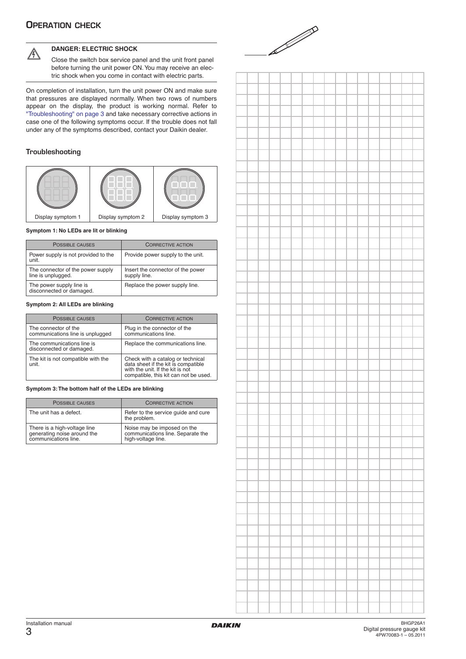# <span id="page-3-1"></span>R

#### **DANGER: ELECTRIC SHOCK**

Close the switch box service panel and the unit front panel before turning the unit power ON. You may receive an electric shock when you come in contact with electric parts.

On completion of installation, turn the unit power ON and make sure that pressures are displayed normally. When two rows of numbers appear on the display, the product is working normal. Refer to ["Troubleshooting" on page 3](#page-3-0) and take necessary corrective actions in case one of the following symptoms occur. If the trouble does not fall under any of the symptoms described, contact your Daikin dealer.

# <span id="page-3-0"></span>**Troubleshooting**



**Symptom 1: No LEDs are lit or blinking**

| <b>POSSIBLE CAUSES</b>                                  | <b>CORRECTIVE ACTION</b>                          |
|---------------------------------------------------------|---------------------------------------------------|
| Power supply is not provided to the<br>unit.            | Provide power supply to the unit.                 |
| The connector of the power supply<br>line is unplugged. | Insert the connector of the power<br>supply line. |
| The power supply line is<br>disconnected or damaged.    | Replace the power supply line.                    |

#### **Symptom 2: All LEDs are blinking**

| <b>POSSIBLE CAUSES</b>                                   | <b>CORRECTIVE ACTION</b>                                                                                                                              |
|----------------------------------------------------------|-------------------------------------------------------------------------------------------------------------------------------------------------------|
| The connector of the<br>communications line is unplugged | Plug in the connector of the<br>communications line.                                                                                                  |
| The communications line is<br>disconnected or damaged.   | Replace the communications line.                                                                                                                      |
| The kit is not compatible with the<br>unit.              | Check with a catalog or technical<br>data sheet if the kit is compatible<br>with the unit. If the kit is not<br>compatible, this kit can not be used. |

#### **Symptom 3: The bottom half of the LEDs are blinking**

| <b>POSSIBLE CAUSES</b>                                                              | <b>CORRECTIVE ACTION</b>                                                               |
|-------------------------------------------------------------------------------------|----------------------------------------------------------------------------------------|
| The unit has a defect.                                                              | Refer to the service quide and cure<br>the problem.                                    |
| There is a high-voltage line<br>generating noise around the<br>communications line. | Noise may be imposed on the<br>communications line. Separate the<br>high-voltage line. |

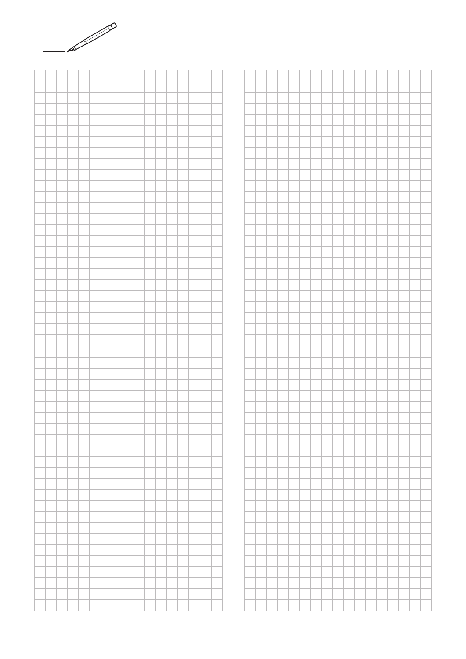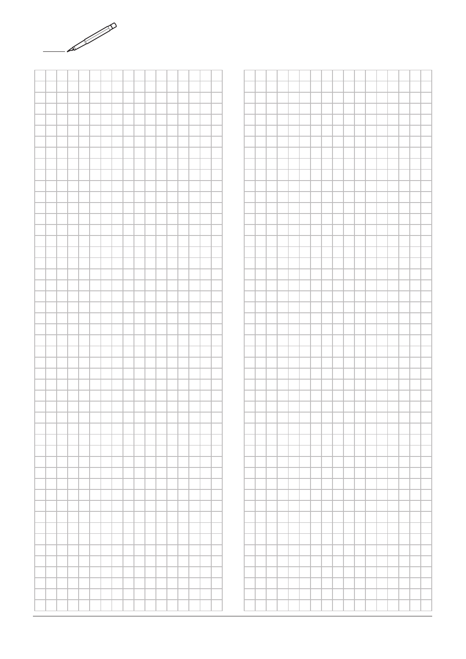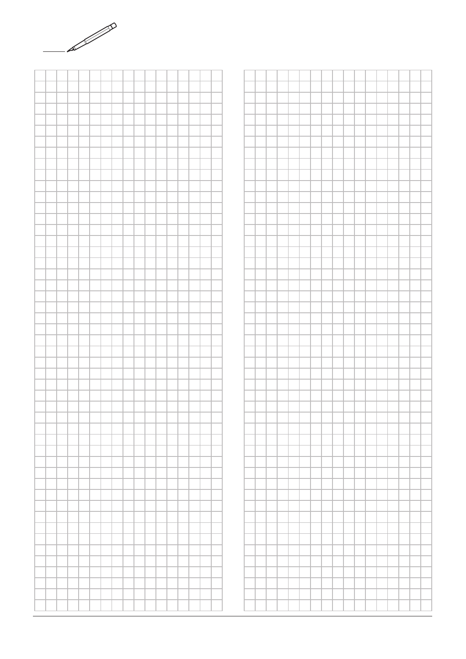